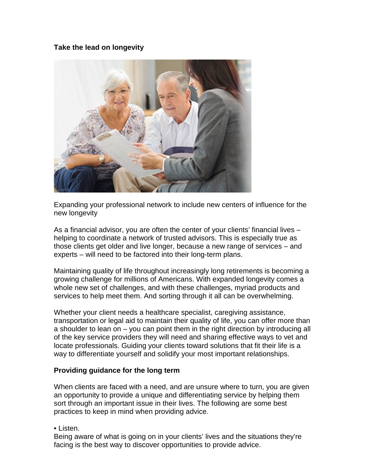## **Take the lead on longevity**



Expanding your professional network to include new centers of influence for the new longevity

As a financial advisor, you are often the center of your clients' financial lives – helping to coordinate a network of trusted advisors. This is especially true as those clients get older and live longer, because a new range of services – and experts – will need to be factored into their long-term plans.

Maintaining quality of life throughout increasingly long retirements is becoming a growing challenge for millions of Americans. With expanded longevity comes a whole new set of challenges, and with these challenges, myriad products and services to help meet them. And sorting through it all can be overwhelming.

Whether your client needs a healthcare specialist, caregiving assistance, transportation or legal aid to maintain their quality of life, you can offer more than a shoulder to lean on – you can point them in the right direction by introducing all of the key service providers they will need and sharing effective ways to vet and locate professionals. Guiding your clients toward solutions that fit their life is a way to differentiate yourself and solidify your most important relationships.

## **Providing guidance for the long term**

When clients are faced with a need, and are unsure where to turn, you are given an opportunity to provide a unique and differentiating service by helping them sort through an important issue in their lives. The following are some best practices to keep in mind when providing advice.

• Listen.

Being aware of what is going on in your clients' lives and the situations they're facing is the best way to discover opportunities to provide advice.